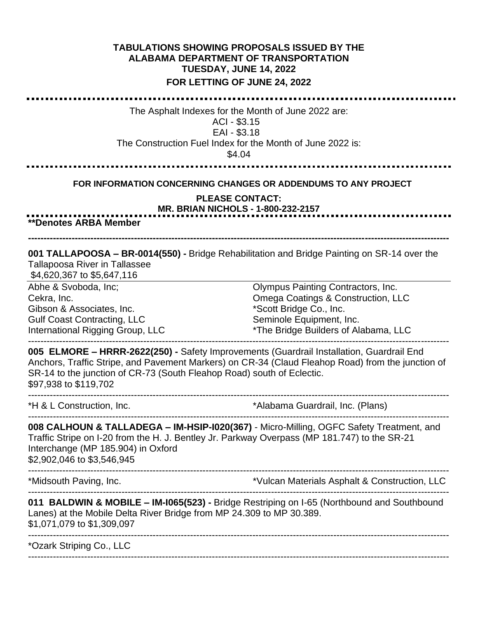## **TABULATIONS SHOWING PROPOSALS ISSUED BY THE ALABAMA DEPARTMENT OF TRANSPORTATION TUESDAY, JUNE 14, 2022 FOR LETTING OF JUNE 24, 2022**

The Asphalt Indexes for the Month of June 2022 are: ACI - \$3.15 EAI - \$3.18 The Construction Fuel Index for the Month of June 2022 is: \$4.04 **FOR INFORMATION CONCERNING CHANGES OR ADDENDUMS TO ANY PROJECT PLEASE CONTACT: MR. BRIAN NICHOLS - 1-800-232-2157 \*\*Denotes ARBA Member --------------------------------------------------------------------------------------------------------------------------------------- 001 TALLAPOOSA – BR-0014(550) -** Bridge Rehabilitation and Bridge Painting on SR-14 over the Tallapoosa River in Tallassee \$4,620,367 to \$5,647,116 Abhe & Svoboda, Inc; Olympus Painting Contractors, Inc. Cekra, Inc. Omega Coatings & Construction, LLC Gibson & Associates, Inc. \*Scott Bridge Co., Inc. Seminole Equipment, Inc. Gulf Coast Contracting, LLC \*The Bridge Builders of Alabama, LLC International Rigging Group, LLC --------------------------------------------------------------------------------------------------------------------------------------- **005 ELMORE – HRRR-2622(250) -** Safety Improvements (Guardrail Installation, Guardrail End Anchors, Traffic Stripe, and Pavement Markers) on CR-34 (Claud Fleahop Road) from the junction of SR-14 to the junction of CR-73 (South Fleahop Road) south of Eclectic. \$97,938 to \$119,702 \*H & L Construction, Inc. \*Alabama Guardrail, Inc. (Plans) --------------------------------------------------------------------------------------------------------------------------------------- **008 CALHOUN & TALLADEGA – IM-HSIP-I020(367)** - Micro-Milling, OGFC Safety Treatment, and Traffic Stripe on I-20 from the H. J. Bentley Jr. Parkway Overpass (MP 181.747) to the SR-21 Interchange (MP 185.904) in Oxford \$2,902,046 to \$3,546,945 --------------------------------------------------------------------------------------------------------------------------------------- \*Vulcan Materials Asphalt & Construction, LLC --------------------------------------------------------------------------------------------------------------------------------------- **011 BALDWIN & MOBILE – IM-I065(523) -** Bridge Restriping on I-65 (Northbound and Southbound Lanes) at the Mobile Delta River Bridge from MP 24.309 to MP 30.389. \$1,071,079 to \$1,309,097 --------------------------------------------------------------------------------------------------------------------------------------- \*Ozark Striping Co., LLC ---------------------------------------------------------------------------------------------------------------------------------------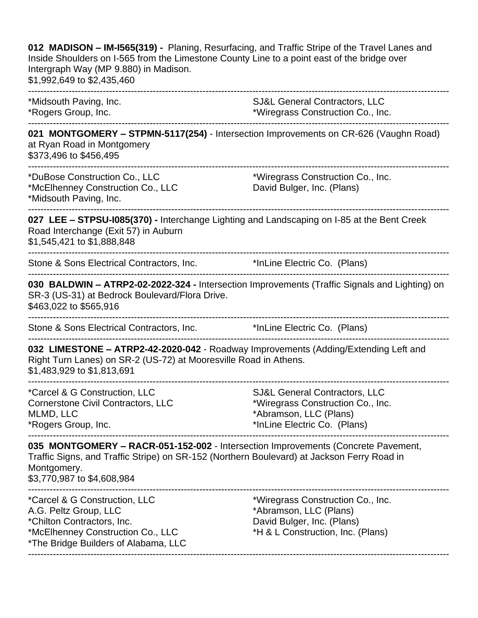| 012 MADISON - IM-1565(319) - Planing, Resurfacing, and Traffic Stripe of the Travel Lanes and<br>Inside Shoulders on I-565 from the Limestone County Line to a point east of the bridge over<br>Intergraph Way (MP 9.880) in Madison.<br>\$1,992,649 to \$2,435,460 |                                                                                                                                |
|---------------------------------------------------------------------------------------------------------------------------------------------------------------------------------------------------------------------------------------------------------------------|--------------------------------------------------------------------------------------------------------------------------------|
| *Midsouth Paving, Inc.<br>*Rogers Group, Inc.                                                                                                                                                                                                                       | <b>SJ&amp;L General Contractors, LLC</b><br>*Wiregrass Construction Co., Inc.                                                  |
| 021 MONTGOMERY - STPMN-5117(254) - Intersection Improvements on CR-626 (Vaughn Road)<br>at Ryan Road in Montgomery<br>\$373,496 to \$456,495                                                                                                                        |                                                                                                                                |
| *DuBose Construction Co., LLC<br>*McElhenney Construction Co., LLC<br>*Midsouth Paving, Inc.                                                                                                                                                                        | *Wiregrass Construction Co., Inc.<br>David Bulger, Inc. (Plans)                                                                |
| 027 LEE - STPSU-1085(370) - Interchange Lighting and Landscaping on I-85 at the Bent Creek<br>Road Interchange (Exit 57) in Auburn<br>\$1,545,421 to \$1,888,848                                                                                                    |                                                                                                                                |
| Stone & Sons Electrical Contractors, Inc.                                                                                                                                                                                                                           | *InLine Electric Co. (Plans)                                                                                                   |
| 030 BALDWIN - ATRP2-02-2022-324 - Intersection Improvements (Traffic Signals and Lighting) on<br>SR-3 (US-31) at Bedrock Boulevard/Flora Drive.<br>\$463,022 to \$565,916                                                                                           |                                                                                                                                |
| Stone & Sons Electrical Contractors, Inc.                                                                                                                                                                                                                           | *InLine Electric Co. (Plans)                                                                                                   |
| 032 LIMESTONE - ATRP2-42-2020-042 - Roadway Improvements (Adding/Extending Left and<br>Right Turn Lanes) on SR-2 (US-72) at Mooresville Road in Athens.<br>\$1,483,929 to \$1,813,691                                                                               |                                                                                                                                |
| *Carcel & G Construction, LLC<br><b>Cornerstone Civil Contractors, LLC</b><br>MLMD, LLC<br>*Rogers Group, Inc.                                                                                                                                                      | SJ&L General Contractors, LLC<br>*Wiregrass Construction Co., Inc.<br>*Abramson, LLC (Plans)<br>*InLine Electric Co. (Plans)   |
| 035 MONTGOMERY - RACR-051-152-002 - Intersection Improvements (Concrete Pavement,<br>Traffic Signs, and Traffic Stripe) on SR-152 (Northern Boulevard) at Jackson Ferry Road in<br>Montgomery.<br>\$3,770,987 to \$4,608,984                                        |                                                                                                                                |
| *Carcel & G Construction, LLC<br>A.G. Peltz Group, LLC<br>*Chilton Contractors, Inc.<br>*McElhenney Construction Co., LLC<br>*The Bridge Builders of Alabama, LLC                                                                                                   | *Wiregrass Construction Co., Inc.<br>*Abramson, LLC (Plans)<br>David Bulger, Inc. (Plans)<br>*H & L Construction, Inc. (Plans) |